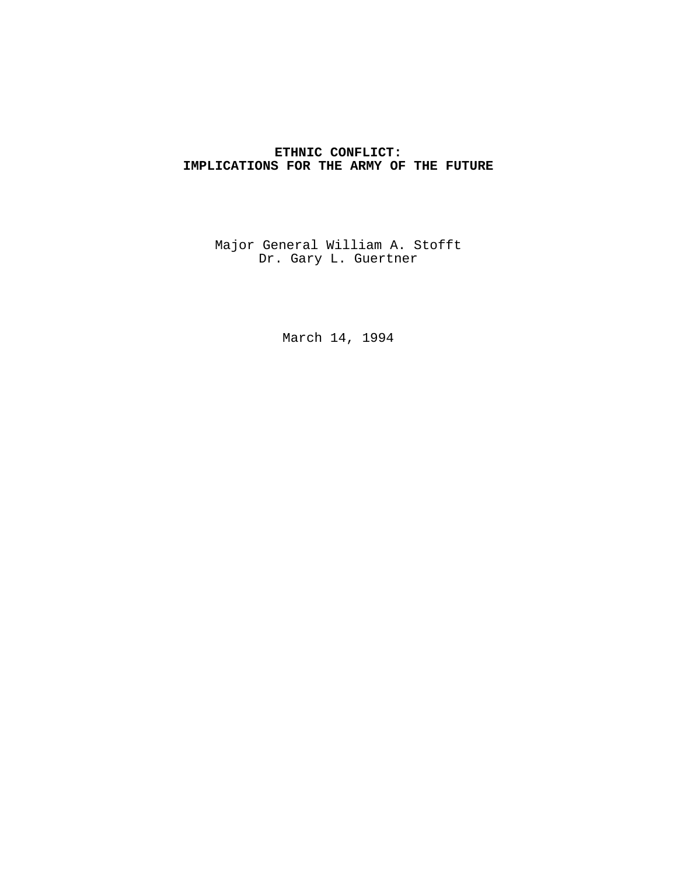# **ETHNIC CONFLICT: IMPLICATIONS FOR THE ARMY OF THE FUTURE**

Major General William A. Stofft Dr. Gary L. Guertner

March 14, 1994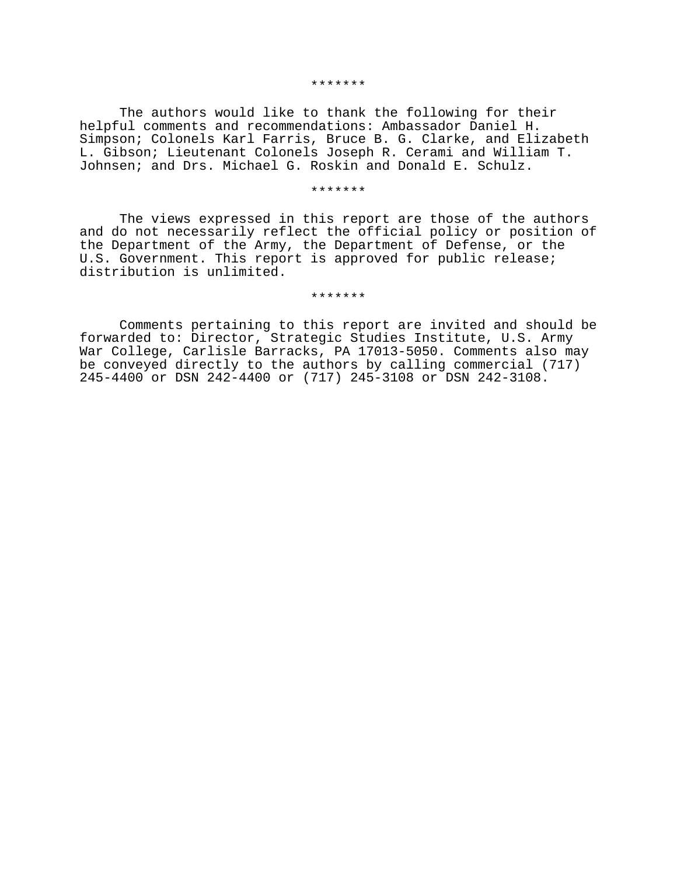#### \*\*\*\*\*\*\*

The authors would like to thank the following for their helpful comments and recommendations: Ambassador Daniel H. Simpson; Colonels Karl Farris, Bruce B. G. Clarke, and Elizabeth L. Gibson; Lieutenant Colonels Joseph R. Cerami and William T. Johnsen; and Drs. Michael G. Roskin and Donald E. Schulz.

#### \*\*\*\*\*\*\*

The views expressed in this report are those of the authors and do not necessarily reflect the official policy or position of the Department of the Army, the Department of Defense, or the U.S. Government. This report is approved for public release; distribution is unlimited.

\*\*\*\*\*\*\*

Comments pertaining to this report are invited and should be forwarded to: Director, Strategic Studies Institute, U.S. Army War College, Carlisle Barracks, PA 17013-5050. Comments also may be conveyed directly to the authors by calling commercial (717) 245-4400 or DSN 242-4400 or (717) 245-3108 or DSN 242-3108.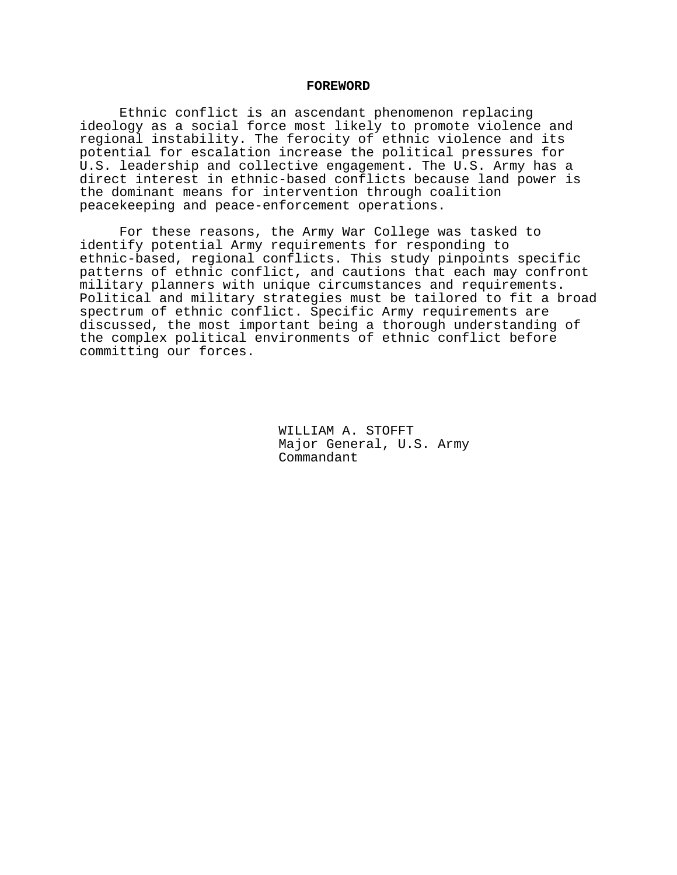#### **FOREWORD**

Ethnic conflict is an ascendant phenomenon replacing ideology as a social force most likely to promote violence and regional instability. The ferocity of ethnic violence and its potential for escalation increase the political pressures for U.S. leadership and collective engagement. The U.S. Army has a direct interest in ethnic-based conflicts because land power is the dominant means for intervention through coalition peacekeeping and peace-enforcement operations.

For these reasons, the Army War College was tasked to identify potential Army requirements for responding to ethnic-based, regional conflicts. This study pinpoints specific patterns of ethnic conflict, and cautions that each may confront military planners with unique circumstances and requirements. Political and military strategies must be tailored to fit a broad spectrum of ethnic conflict. Specific Army requirements are discussed, the most important being a thorough understanding of the complex political environments of ethnic conflict before committing our forces.

> WILLIAM A. STOFFT Major General, U.S. Army Commandant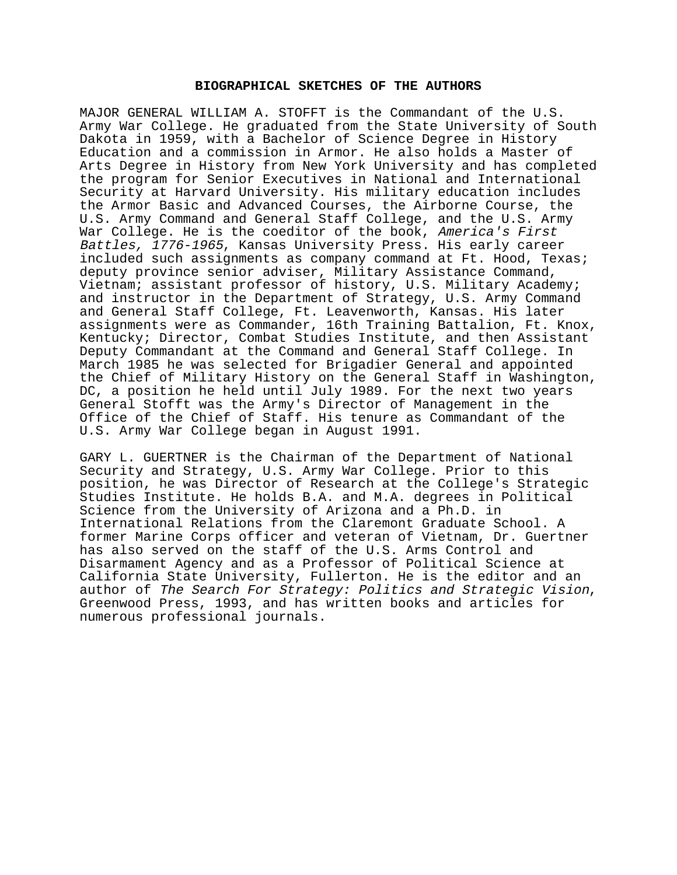### **BIOGRAPHICAL SKETCHES OF THE AUTHORS**

MAJOR GENERAL WILLIAM A. STOFFT is the Commandant of the U.S. Army War College. He graduated from the State University of South Dakota in 1959, with a Bachelor of Science Degree in History Education and a commission in Armor. He also holds a Master of Arts Degree in History from New York University and has completed the program for Senior Executives in National and International Security at Harvard University. His military education includes the Armor Basic and Advanced Courses, the Airborne Course, the U.S. Army Command and General Staff College, and the U.S. Army War College. He is the coeditor of the book, America's First Battles, 1776-1965, Kansas University Press. His early career included such assignments as company command at Ft. Hood, Texas; deputy province senior adviser, Military Assistance Command, Vietnam; assistant professor of history, U.S. Military Academy; and instructor in the Department of Strategy, U.S. Army Command and General Staff College, Ft. Leavenworth, Kansas. His later assignments were as Commander, 16th Training Battalion, Ft. Knox, Kentucky; Director, Combat Studies Institute, and then Assistant Deputy Commandant at the Command and General Staff College. In March 1985 he was selected for Brigadier General and appointed the Chief of Military History on the General Staff in Washington, DC, a position he held until July 1989. For the next two years General Stofft was the Army's Director of Management in the Office of the Chief of Staff. His tenure as Commandant of the U.S. Army War College began in August 1991.

GARY L. GUERTNER is the Chairman of the Department of National Security and Strategy, U.S. Army War College. Prior to this position, he was Director of Research at the College's Strategic Studies Institute. He holds B.A. and M.A. degrees in Political Science from the University of Arizona and a Ph.D. in International Relations from the Claremont Graduate School. A former Marine Corps officer and veteran of Vietnam, Dr. Guertner has also served on the staff of the U.S. Arms Control and Disarmament Agency and as a Professor of Political Science at California State University, Fullerton. He is the editor and an author of The Search For Strategy: Politics and Strategic Vision,<br>Greenwood Press, 1993, and has written books and articles for numerous professional journals.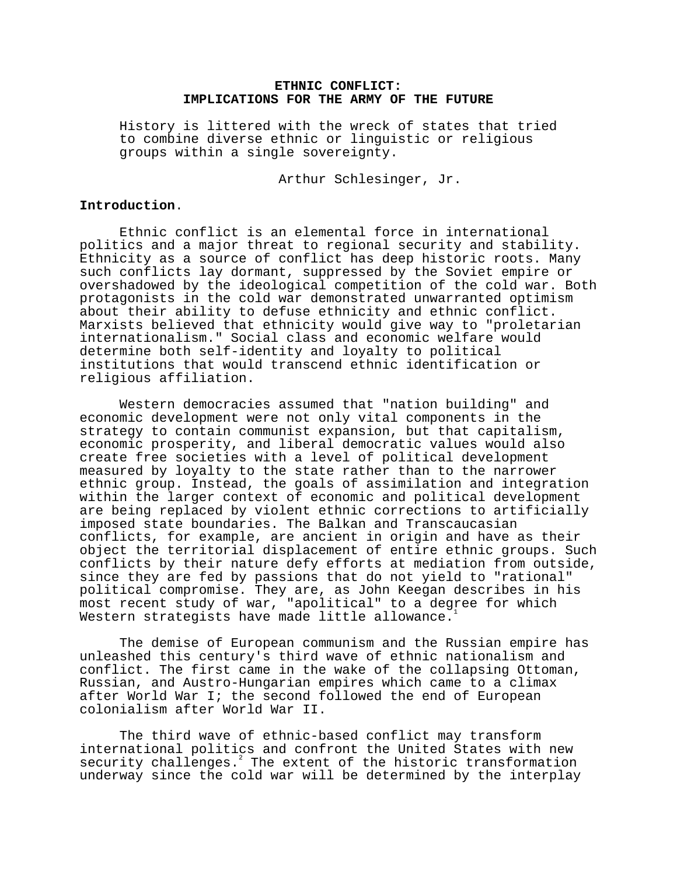# **ETHNIC CONFLICT: IMPLICATIONS FOR THE ARMY OF THE FUTURE**

History is littered with the wreck of states that tried to combine diverse ethnic or linguistic or religious groups within a single sovereignty.

Arthur Schlesinger, Jr.

### **Introduction**.

Ethnic conflict is an elemental force in international politics and a major threat to regional security and stability. Ethnicity as a source of conflict has deep historic roots. Many such conflicts lay dormant, suppressed by the Soviet empire or overshadowed by the ideological competition of the cold war. Both protagonists in the cold war demonstrated unwarranted optimism about their ability to defuse ethnicity and ethnic conflict. Marxists believed that ethnicity would give way to "proletarian internationalism." Social class and economic welfare would determine both self-identity and loyalty to political institutions that would transcend ethnic identification or religious affiliation.

Western democracies assumed that "nation building" and economic development were not only vital components in the strategy to contain communist expansion, but that capitalism, economic prosperity, and liberal democratic values would also create free societies with a level of political development measured by loyalty to the state rather than to the narrower ethnic group. Instead, the goals of assimilation and integration within the larger context of economic and political development are being replaced by violent ethnic corrections to artificially imposed state boundaries. The Balkan and Transcaucasian conflicts, for example, are ancient in origin and have as their object the territorial displacement of entire ethnic groups. Such conflicts by their nature defy efforts at mediation from outside, since they are fed by passions that do not yield to "rational" political compromise. They are, as John Keegan describes in his most recent study of war, "apolitical" to a degree for which Western strategists have made little allowance.

The demise of European communism and the Russian empire has unleashed this century's third wave of ethnic nationalism and conflict. The first came in the wake of the collapsing Ottoman, Russian, and Austro-Hungarian empires which came to a climax after World War I; the second followed the end of European colonialism after World War II.

The third wave of ethnic-based conflict may transform international politics and confront the United States with new security challenges. $^{2}$  The extent of the historic transformation underway since the cold war will be determined by the interplay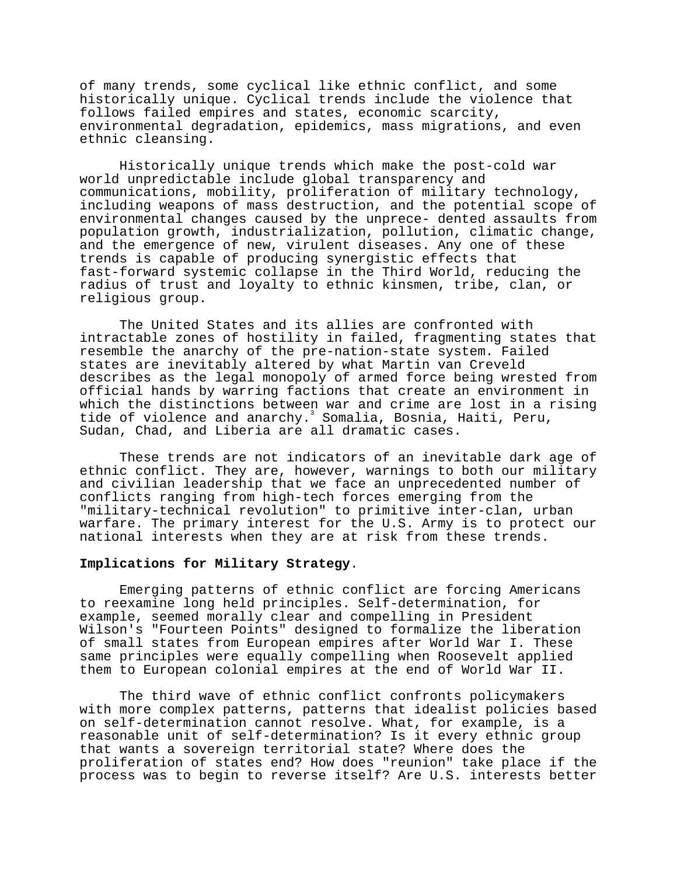of many trends, some cyclical like ethnic conflict, and some historically unique. Cyclical trends include the violence that follows failed empires and states, economic scarcity, environmental degradation, epidemics, mass migrations, and even ethnic cleansing.

Historically unique trends which make the post-cold war world unpredictable include global transparency and communications, mobility, proliferation of military technology, including weapons of mass destruction, and the potential scope of environmental changes caused by the unprece- dented assaults from population growth, industrialization, pollution, climatic change, and the emergence of new, virulent diseases. Any one of these trends is capable of producing synergistic effects that fast-forward systemic collapse in the Third World, reducing the radius of trust and loyalty to ethnic kinsmen, tribe, clan, or religious group.

The United States and its allies are confronted with intractable zones of hostility in failed, fragmenting states that resemble the anarchy of the pre-nation-state system. Failed states are inevitably altered by what Martin van Creveld describes as the legal monopoly of armed force being wrested from official hands by warring factions that create an environment in which the distinctions between war and crime are lost in a rising tide of violence and anarchy.<sup>3</sup> Somalia, Bosnia, Haiti, Peru, Sudan, Chad, and Liberia are all dramatic cases.

These trends are not indicators of an inevitable dark age of ethnic conflict. They are, however, warnings to both our military and civilian leadership that we face an unprecedented number of conflicts ranging from high-tech forces emerging from the "military-technical revolution" to primitive inter-clan, urban warfare. The primary interest for the U.S. Army is to protect our national interests when they are at risk from these trends.

## **Implications for Military Strategy**.

Emerging patterns of ethnic conflict are forcing Americans to reexamine long held principles. Self-determination, for example, seemed morally clear and compelling in President Wilson's "Fourteen Points" designed to formalize the liberation of small states from European empires after World War I. These same principles were equally compelling when Roosevelt applied them to European colonial empires at the end of World War II.

The third wave of ethnic conflict confronts policymakers with more complex patterns, patterns that idealist policies based on self-determination cannot resolve. What, for example, is a reasonable unit of self-determination? Is it every ethnic group that wants a sovereign territorial state? Where does the proliferation of states end? How does "reunion" take place if the process was to begin to reverse itself? Are U.S. interests better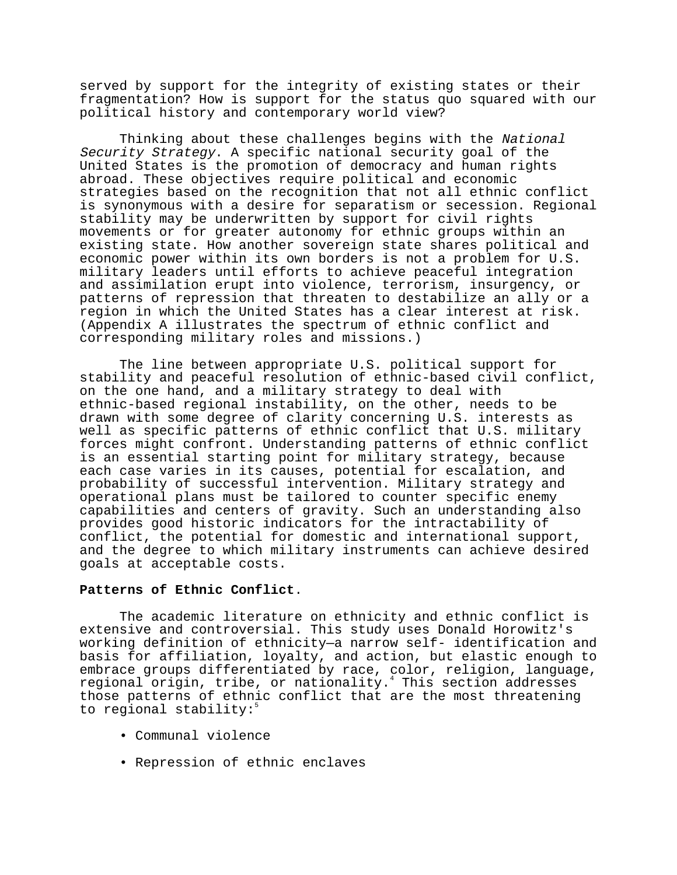served by support for the integrity of existing states or their fragmentation? How is support for the status quo squared with our political history and contemporary world view?

Thinking about these challenges begins with the National Security Strategy. A specific national security goal of the United States is the promotion of democracy and human rights abroad. These objectives require political and economic strategies based on the recognition that not all ethnic conflict is synonymous with a desire for separatism or secession. Regional stability may be underwritten by support for civil rights movements or for greater autonomy for ethnic groups within an existing state. How another sovereign state shares political and economic power within its own borders is not a problem for U.S. military leaders until efforts to achieve peaceful integration and assimilation erupt into violence, terrorism, insurgency, or patterns of repression that threaten to destabilize an ally or a region in which the United States has a clear interest at risk. (Appendix A illustrates the spectrum of ethnic conflict and corresponding military roles and missions.)

The line between appropriate U.S. political support for stability and peaceful resolution of ethnic-based civil conflict, on the one hand, and a military strategy to deal with ethnic-based regional instability, on the other, needs to be drawn with some degree of clarity concerning U.S. interests as well as specific patterns of ethnic conflict that U.S. military forces might confront. Understanding patterns of ethnic conflict is an essential starting point for military strategy, because each case varies in its causes, potential for escalation, and probability of successful intervention. Military strategy and operational plans must be tailored to counter specific enemy capabilities and centers of gravity. Such an understanding also provides good historic indicators for the intractability of conflict, the potential for domestic and international support, and the degree to which military instruments can achieve desired goals at acceptable costs.

## **Patterns of Ethnic Conflict**.

The academic literature on ethnicity and ethnic conflict is extensive and controversial. This study uses Donald Horowitz's working definition of ethnicity—a narrow self- identification and basis for affiliation, loyalty, and action, but elastic enough to embrace groups differentiated by race, color, religion, language, regional origin, tribe, or nationality.<sup>4</sup> This section addresses those patterns of ethnic conflict that are the most threatening to regional stability:<sup>5</sup>

- Communal violence
- Repression of ethnic enclaves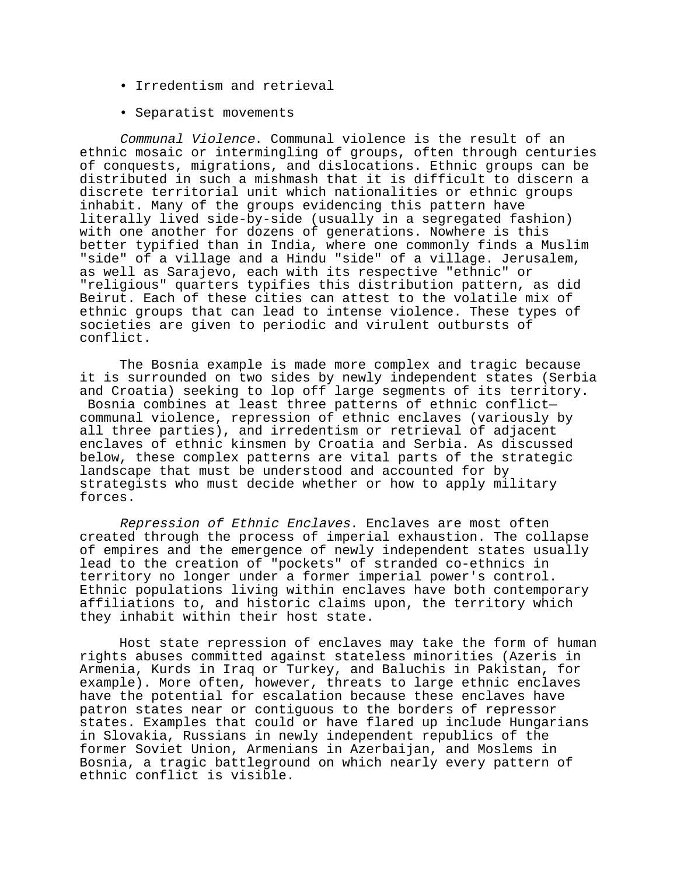- Irredentism and retrieval
- Separatist movements

Communal Violence. Communal violence is the result of an ethnic mosaic or intermingling of groups, often through centuries of conquests, migrations, and dislocations. Ethnic groups can be distributed in such a mishmash that it is difficult to discern a discrete territorial unit which nationalities or ethnic groups inhabit. Many of the groups evidencing this pattern have literally lived side-by-side (usually in a segregated fashion) with one another for dozens of generations. Nowhere is this better typified than in India, where one commonly finds a Muslim "side" of a village and a Hindu "side" of a village. Jerusalem, as well as Sarajevo, each with its respective "ethnic" or "religious" quarters typifies this distribution pattern, as did Beirut. Each of these cities can attest to the volatile mix of ethnic groups that can lead to intense violence. These types of societies are given to periodic and virulent outbursts of conflict.

The Bosnia example is made more complex and tragic because it is surrounded on two sides by newly independent states (Serbia and Croatia) seeking to lop off large segments of its territory. Bosnia combines at least three patterns of ethnic conflict communal violence, repression of ethnic enclaves (variously by all three parties), and irredentism or retrieval of adjacent enclaves of ethnic kinsmen by Croatia and Serbia. As discussed below, these complex patterns are vital parts of the strategic landscape that must be understood and accounted for by strategists who must decide whether or how to apply military forces.

Repression of Ethnic Enclaves. Enclaves are most often created through the process of imperial exhaustion. The collapse of empires and the emergence of newly independent states usually lead to the creation of "pockets" of stranded co-ethnics in territory no longer under a former imperial power's control. Ethnic populations living within enclaves have both contemporary affiliations to, and historic claims upon, the territory which they inhabit within their host state.

Host state repression of enclaves may take the form of human rights abuses committed against stateless minorities (Azeris in Armenia, Kurds in Iraq or Turkey, and Baluchis in Pakistan, for example). More often, however, threats to large ethnic enclaves have the potential for escalation because these enclaves have patron states near or contiguous to the borders of repressor states. Examples that could or have flared up include Hungarians in Slovakia, Russians in newly independent republics of the former Soviet Union, Armenians in Azerbaijan, and Moslems in Bosnia, a tragic battleground on which nearly every pattern of ethnic conflict is visible.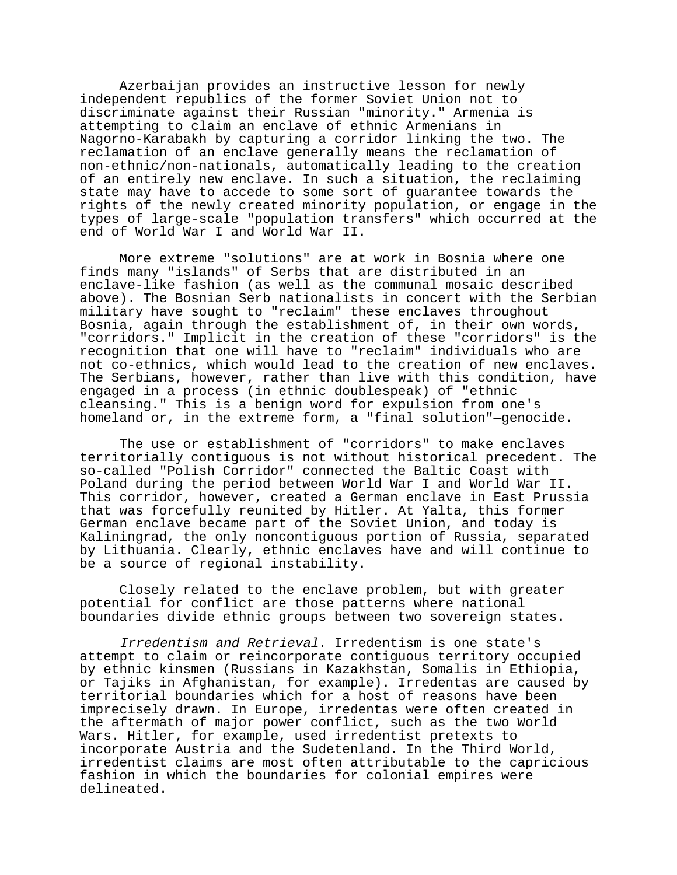Azerbaijan provides an instructive lesson for newly independent republics of the former Soviet Union not to discriminate against their Russian "minority." Armenia is attempting to claim an enclave of ethnic Armenians in Nagorno-Karabakh by capturing a corridor linking the two. The reclamation of an enclave generally means the reclamation of non-ethnic/non-nationals, automatically leading to the creation of an entirely new enclave. In such a situation, the reclaiming state may have to accede to some sort of guarantee towards the rights of the newly created minority population, or engage in the types of large-scale "population transfers" which occurred at the end of World War I and World War II.

More extreme "solutions" are at work in Bosnia where one finds many "islands" of Serbs that are distributed in an enclave-like fashion (as well as the communal mosaic described above). The Bosnian Serb nationalists in concert with the Serbian military have sought to "reclaim" these enclaves throughout Bosnia, again through the establishment of, in their own words, "corridors." Implicit in the creation of these "corridors" is the recognition that one will have to "reclaim" individuals who are not co-ethnics, which would lead to the creation of new enclaves. The Serbians, however, rather than live with this condition, have engaged in a process (in ethnic doublespeak) of "ethnic cleansing." This is a benign word for expulsion from one's homeland or, in the extreme form, a "final solution"—genocide.

The use or establishment of "corridors" to make enclaves territorially contiguous is not without historical precedent. The so-called "Polish Corridor" connected the Baltic Coast with Poland during the period between World War I and World War II. This corridor, however, created a German enclave in East Prussia that was forcefully reunited by Hitler. At Yalta, this former German enclave became part of the Soviet Union, and today is Kaliningrad, the only noncontiguous portion of Russia, separated by Lithuania. Clearly, ethnic enclaves have and will continue to be a source of regional instability.

Closely related to the enclave problem, but with greater potential for conflict are those patterns where national boundaries divide ethnic groups between two sovereign states.

Irredentism and Retrieval. Irredentism is one state's attempt to claim or reincorporate contiguous territory occupied by ethnic kinsmen (Russians in Kazakhstan, Somalis in Ethiopia, or Tajiks in Afghanistan, for example). Irredentas are caused by territorial boundaries which for a host of reasons have been imprecisely drawn. In Europe, irredentas were often created in the aftermath of major power conflict, such as the two World Wars. Hitler, for example, used irredentist pretexts to incorporate Austria and the Sudetenland. In the Third World, irredentist claims are most often attributable to the capricious fashion in which the boundaries for colonial empires were delineated.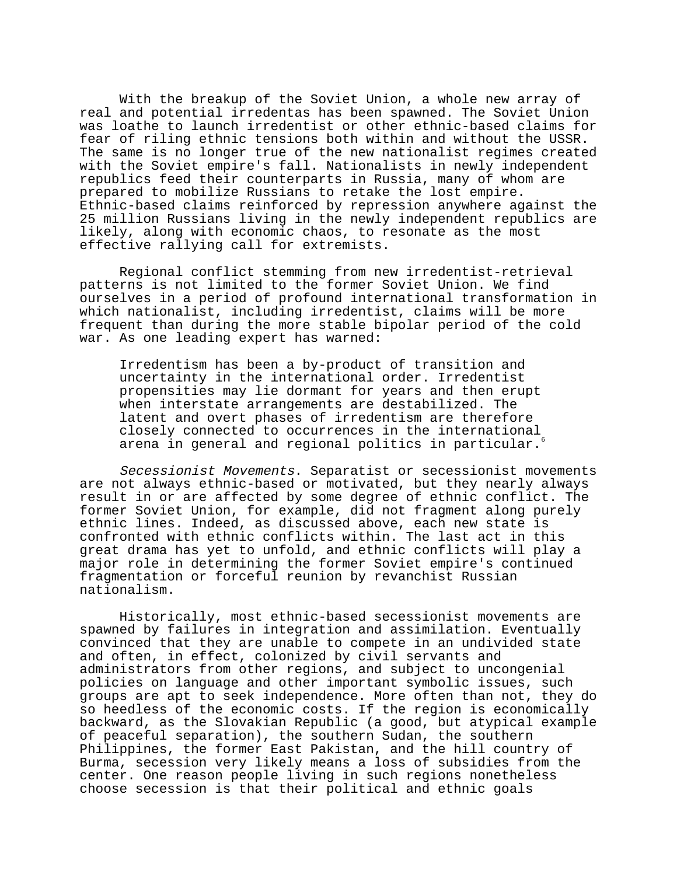With the breakup of the Soviet Union, a whole new array of real and potential irredentas has been spawned. The Soviet Union was loathe to launch irredentist or other ethnic-based claims for fear of riling ethnic tensions both within and without the USSR. The same is no longer true of the new nationalist regimes created with the Soviet empire's fall. Nationalists in newly independent republics feed their counterparts in Russia, many of whom are prepared to mobilize Russians to retake the lost empire. Ethnic-based claims reinforced by repression anywhere against the 25 million Russians living in the newly independent republics are likely, along with economic chaos, to resonate as the most effective rallying call for extremists.

Regional conflict stemming from new irredentist-retrieval patterns is not limited to the former Soviet Union. We find ourselves in a period of profound international transformation in which nationalist, including irredentist, claims will be more frequent than during the more stable bipolar period of the cold war. As one leading expert has warned:

Irredentism has been a by-product of transition and uncertainty in the international order. Irredentist propensities may lie dormant for years and then erupt when interstate arrangements are destabilized. The latent and overt phases of irredentism are therefore closely connected to occurrences in the international arena in general and regional politics in particular.

Secessionist Movements. Separatist or secessionist movements are not always ethnic-based or motivated, but they nearly always result in or are affected by some degree of ethnic conflict. The former Soviet Union, for example, did not fragment along purely ethnic lines. Indeed, as discussed above, each new state is confronted with ethnic conflicts within. The last act in this great drama has yet to unfold, and ethnic conflicts will play a major role in determining the former Soviet empire's continued fragmentation or forceful reunion by revanchist Russian nationalism.

Historically, most ethnic-based secessionist movements are spawned by failures in integration and assimilation. Eventually convinced that they are unable to compete in an undivided state and often, in effect, colonized by civil servants and administrators from other regions, and subject to uncongenial policies on language and other important symbolic issues, such groups are apt to seek independence. More often than not, they do so heedless of the economic costs. If the region is economically backward, as the Slovakian Republic (a good, but atypical example of peaceful separation), the southern Sudan, the southern Philippines, the former East Pakistan, and the hill country of Burma, secession very likely means a loss of subsidies from the center. One reason people living in such regions nonetheless choose secession is that their political and ethnic goals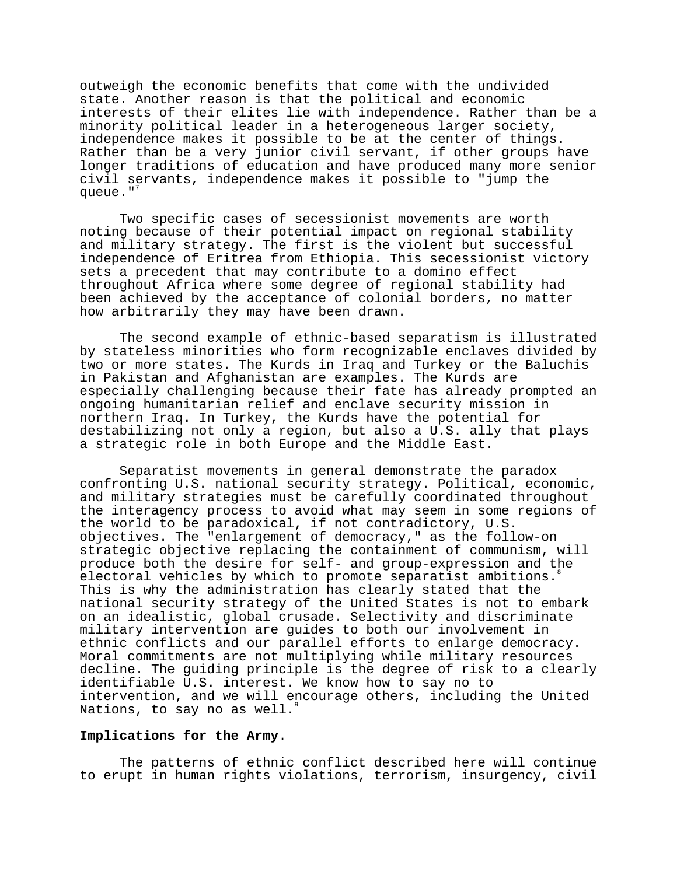outweigh the economic benefits that come with the undivided state. Another reason is that the political and economic interests of their elites lie with independence. Rather than be a minority political leader in a heterogeneous larger society, independence makes it possible to be at the center of things. Rather than be a very junior civil servant, if other groups have longer traditions of education and have produced many more senior civil servants, independence makes it possible to "jump the queue." $<sup>7</sup>$ </sup>

Two specific cases of secessionist movements are worth noting because of their potential impact on regional stability and military strategy. The first is the violent but successful independence of Eritrea from Ethiopia. This secessionist victory sets a precedent that may contribute to a domino effect throughout Africa where some degree of regional stability had been achieved by the acceptance of colonial borders, no matter how arbitrarily they may have been drawn.

The second example of ethnic-based separatism is illustrated by stateless minorities who form recognizable enclaves divided by two or more states. The Kurds in Iraq and Turkey or the Baluchis in Pakistan and Afghanistan are examples. The Kurds are especially challenging because their fate has already prompted an ongoing humanitarian relief and enclave security mission in northern Iraq. In Turkey, the Kurds have the potential for destabilizing not only a region, but also a U.S. ally that plays a strategic role in both Europe and the Middle East.

Separatist movements in general demonstrate the paradox confronting U.S. national security strategy. Political, economic, and military strategies must be carefully coordinated throughout the interagency process to avoid what may seem in some regions of the world to be paradoxical, if not contradictory, U.S. objectives. The "enlargement of democracy," as the follow-on strategic objective replacing the containment of communism, will produce both the desire for self- and group-expression and the electoral vehicles by which to promote separatist ambitions. This is why the administration has clearly stated that the national security strategy of the United States is not to embark on an idealistic, global crusade. Selectivity and discriminate military intervention are guides to both our involvement in ethnic conflicts and our parallel efforts to enlarge democracy. Moral commitments are not multiplying while military resources decline. The guiding principle is the degree of risk to a clearly identifiable U.S. interest. We know how to say no to intervention, and we will encourage others, including the United Nations, to say no as well.

## **Implications for the Army**.

The patterns of ethnic conflict described here will continue to erupt in human rights violations, terrorism, insurgency, civil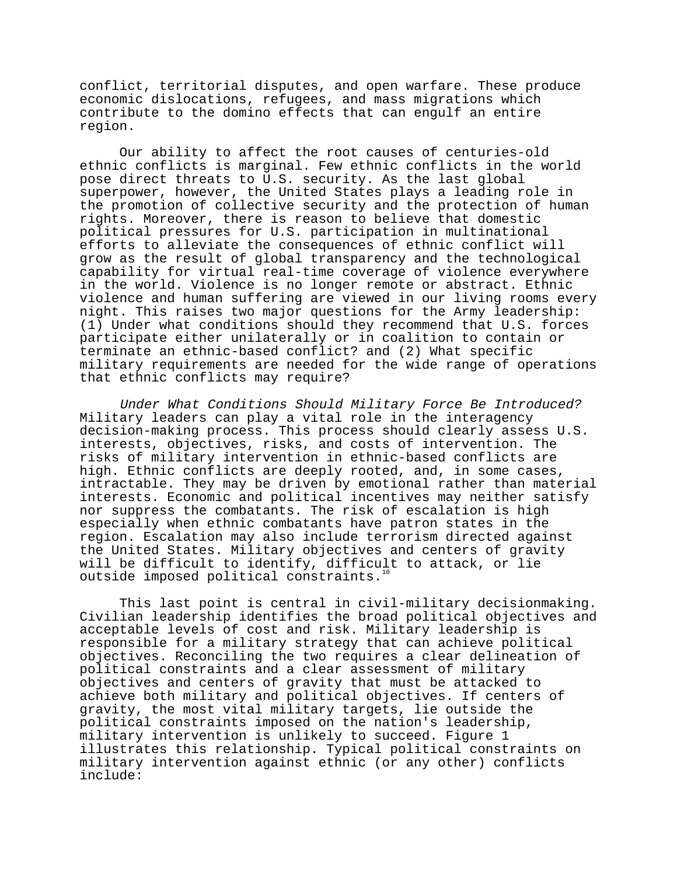conflict, territorial disputes, and open warfare. These produce economic dislocations, refugees, and mass migrations which contribute to the domino effects that can engulf an entire region.

Our ability to affect the root causes of centuries-old ethnic conflicts is marginal. Few ethnic conflicts in the world pose direct threats to U.S. security. As the last global superpower, however, the United States plays a leading role in the promotion of collective security and the protection of human rights. Moreover, there is reason to believe that domestic political pressures for U.S. participation in multinational efforts to alleviate the consequences of ethnic conflict will grow as the result of global transparency and the technological capability for virtual real-time coverage of violence everywhere in the world. Violence is no longer remote or abstract. Ethnic violence and human suffering are viewed in our living rooms every night. This raises two major questions for the Army leadership: (1) Under what conditions should they recommend that U.S. forces participate either unilaterally or in coalition to contain or terminate an ethnic-based conflict? and (2) What specific military requirements are needed for the wide range of operations that ethnic conflicts may require?

Under What Conditions Should Military Force Be Introduced? Military leaders can play a vital role in the interagency decision-making process. This process should clearly assess U.S. interests, objectives, risks, and costs of intervention. The risks of military intervention in ethnic-based conflicts are high. Ethnic conflicts are deeply rooted, and, in some cases, intractable. They may be driven by emotional rather than material interests. Economic and political incentives may neither satisfy nor suppress the combatants. The risk of escalation is high especially when ethnic combatants have patron states in the region. Escalation may also include terrorism directed against the United States. Military objectives and centers of gravity will be difficult to identify, difficult to attack, or lie outside imposed political constraints.<sup>1</sup>

This last point is central in civil-military decisionmaking. Civilian leadership identifies the broad political objectives and acceptable levels of cost and risk. Military leadership is responsible for a military strategy that can achieve political objectives. Reconciling the two requires a clear delineation of political constraints and a clear assessment of military objectives and centers of gravity that must be attacked to achieve both military and political objectives. If centers of gravity, the most vital military targets, lie outside the political constraints imposed on the nation's leadership, military intervention is unlikely to succeed. Figure 1 illustrates this relationship. Typical political constraints on military intervention against ethnic (or any other) conflicts include: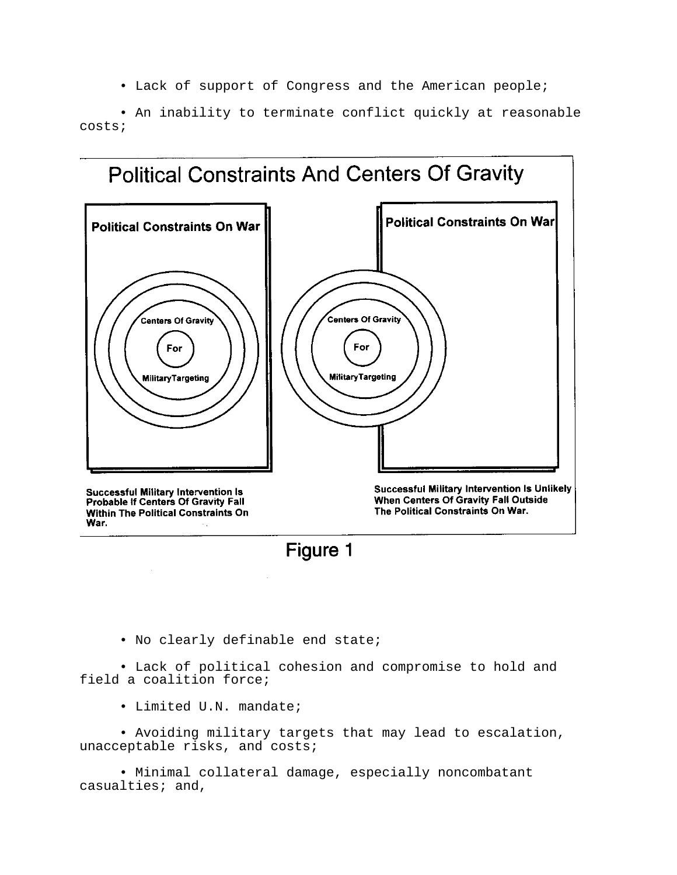• Lack of support of Congress and the American people;

• An inability to terminate conflict quickly at reasonable costs;





• No clearly definable end state;

• Lack of political cohesion and compromise to hold and field a coalition force;

• Limited U.N. mandate;

• Avoiding military targets that may lead to escalation, unacceptable risks, and costs;

• Minimal collateral damage, especially noncombatant casualties; and,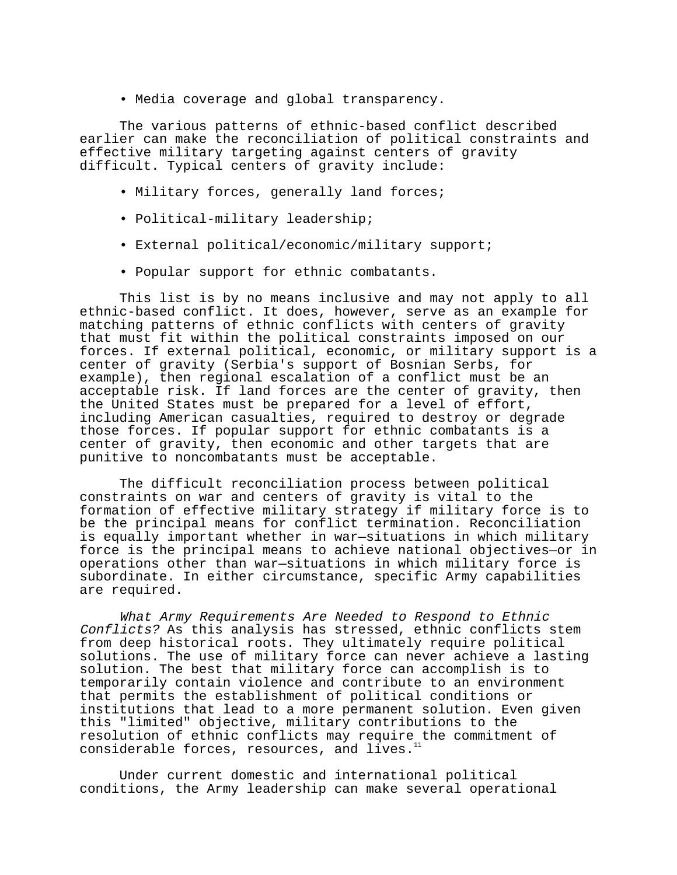• Media coverage and global transparency.

The various patterns of ethnic-based conflict described earlier can make the reconciliation of political constraints and effective military targeting against centers of gravity difficult. Typical centers of gravity include:

- Military forces, generally land forces;
- Political-military leadership;
- External political/economic/military support;
- Popular support for ethnic combatants.

This list is by no means inclusive and may not apply to all ethnic-based conflict. It does, however, serve as an example for matching patterns of ethnic conflicts with centers of gravity that must fit within the political constraints imposed on our forces. If external political, economic, or military support is a center of gravity (Serbia's support of Bosnian Serbs, for example), then regional escalation of a conflict must be an acceptable risk. If land forces are the center of gravity, then the United States must be prepared for a level of effort, including American casualties, required to destroy or degrade those forces. If popular support for ethnic combatants is a center of gravity, then economic and other targets that are punitive to noncombatants must be acceptable.

The difficult reconciliation process between political constraints on war and centers of gravity is vital to the formation of effective military strategy if military force is to be the principal means for conflict termination. Reconciliation is equally important whether in war—situations in which military force is the principal means to achieve national objectives—or in operations other than war—situations in which military force is subordinate. In either circumstance, specific Army capabilities are required.

What Army Requirements Are Needed to Respond to Ethnic Conflicts? As this analysis has stressed, ethnic conflicts stem from deep historical roots. They ultimately require political solutions. The use of military force can never achieve a lasting solution. The best that military force can accomplish is to temporarily contain violence and contribute to an environment that permits the establishment of political conditions or institutions that lead to a more permanent solution. Even given this "limited" objective, military contributions to the resolution of ethnic conflicts may require the commitment of considerable forces, resources, and lives.11

Under current domestic and international political conditions, the Army leadership can make several operational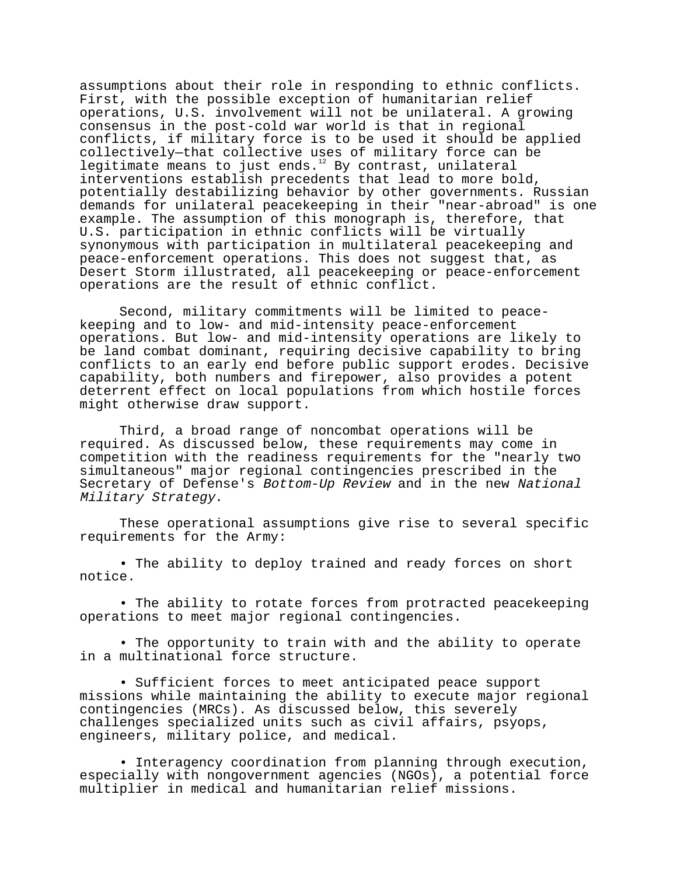assumptions about their role in responding to ethnic conflicts. First, with the possible exception of humanitarian relief operations, U.S. involvement will not be unilateral. A growing consensus in the post-cold war world is that in regional conflicts, if military force is to be used it should be applied collectively—that collective uses of military force can be legitimate means to just ends. $12$  By contrast, unilateral interventions establish precedents that lead to more bold, potentially destabilizing behavior by other governments. Russian demands for unilateral peacekeeping in their "near-abroad" is one example. The assumption of this monograph is, therefore, that U.S. participation in ethnic conflicts will be virtually synonymous with participation in multilateral peacekeeping and peace-enforcement operations. This does not suggest that, as Desert Storm illustrated, all peacekeeping or peace-enforcement operations are the result of ethnic conflict.

Second, military commitments will be limited to peacekeeping and to low- and mid-intensity peace-enforcement operations. But low- and mid-intensity operations are likely to be land combat dominant, requiring decisive capability to bring conflicts to an early end before public support erodes. Decisive capability, both numbers and firepower, also provides a potent deterrent effect on local populations from which hostile forces might otherwise draw support.

Third, a broad range of noncombat operations will be required. As discussed below, these requirements may come in competition with the readiness requirements for the "nearly two simultaneous" major regional contingencies prescribed in the Secretary of Defense's Bottom-Up Review and in the new National Military Strategy.

These operational assumptions give rise to several specific requirements for the Army:

• The ability to deploy trained and ready forces on short notice.

• The ability to rotate forces from protracted peacekeeping operations to meet major regional contingencies.

• The opportunity to train with and the ability to operate in a multinational force structure.

• Sufficient forces to meet anticipated peace support missions while maintaining the ability to execute major regional contingencies (MRCs). As discussed below, this severely challenges specialized units such as civil affairs, psyops, engineers, military police, and medical.

• Interagency coordination from planning through execution, especially with nongovernment agencies (NGOs), a potential force multiplier in medical and humanitarian relief missions.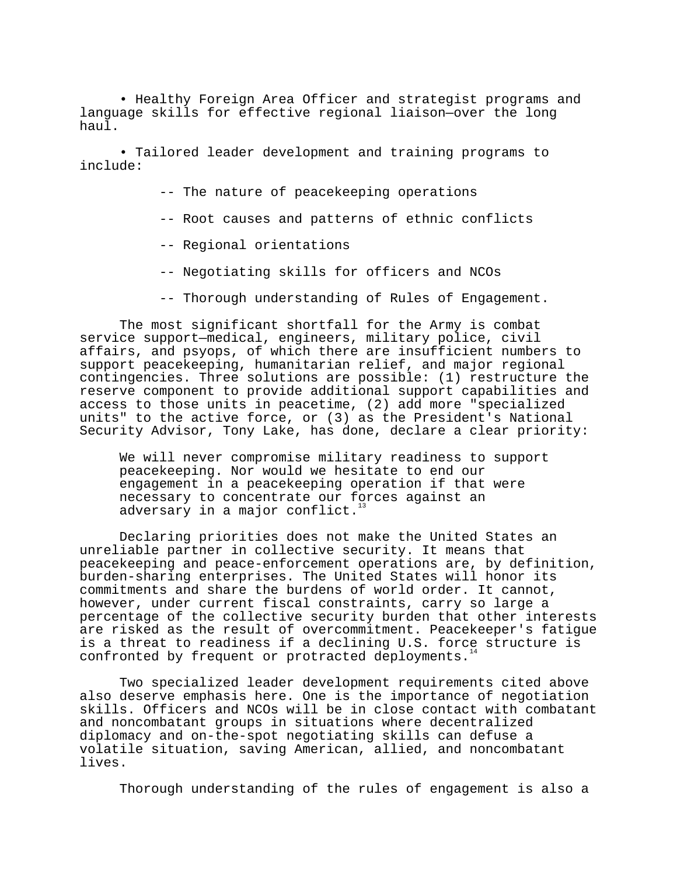• Healthy Foreign Area Officer and strategist programs and language skills for effective regional liaison—over the long haul.

• Tailored leader development and training programs to include:

-- The nature of peacekeeping operations

- -- Root causes and patterns of ethnic conflicts
- -- Regional orientations
- -- Negotiating skills for officers and NCOs
- -- Thorough understanding of Rules of Engagement.

The most significant shortfall for the Army is combat service support—medical, engineers, military police, civil affairs, and psyops, of which there are insufficient numbers to support peacekeeping, humanitarian relief, and major regional contingencies. Three solutions are possible: (1) restructure the reserve component to provide additional support capabilities and access to those units in peacetime, (2) add more "specialized units" to the active force, or (3) as the President's National Security Advisor, Tony Lake, has done, declare a clear priority:

We will never compromise military readiness to support peacekeeping. Nor would we hesitate to end our engagement in a peacekeeping operation if that were necessary to concentrate our forces against an adversary in a major conflict.<sup>1</sup>

Declaring priorities does not make the United States an unreliable partner in collective security. It means that peacekeeping and peace-enforcement operations are, by definition, burden-sharing enterprises. The United States will honor its commitments and share the burdens of world order. It cannot, however, under current fiscal constraints, carry so large a percentage of the collective security burden that other interests are risked as the result of overcommitment. Peacekeeper's fatigue is a threat to readiness if a declining U.S. force structure is confronted by frequent or protracted deployments.<sup>1</sup>

Two specialized leader development requirements cited above also deserve emphasis here. One is the importance of negotiation skills. Officers and NCOs will be in close contact with combatant and noncombatant groups in situations where decentralized diplomacy and on-the-spot negotiating skills can defuse a volatile situation, saving American, allied, and noncombatant lives.

Thorough understanding of the rules of engagement is also a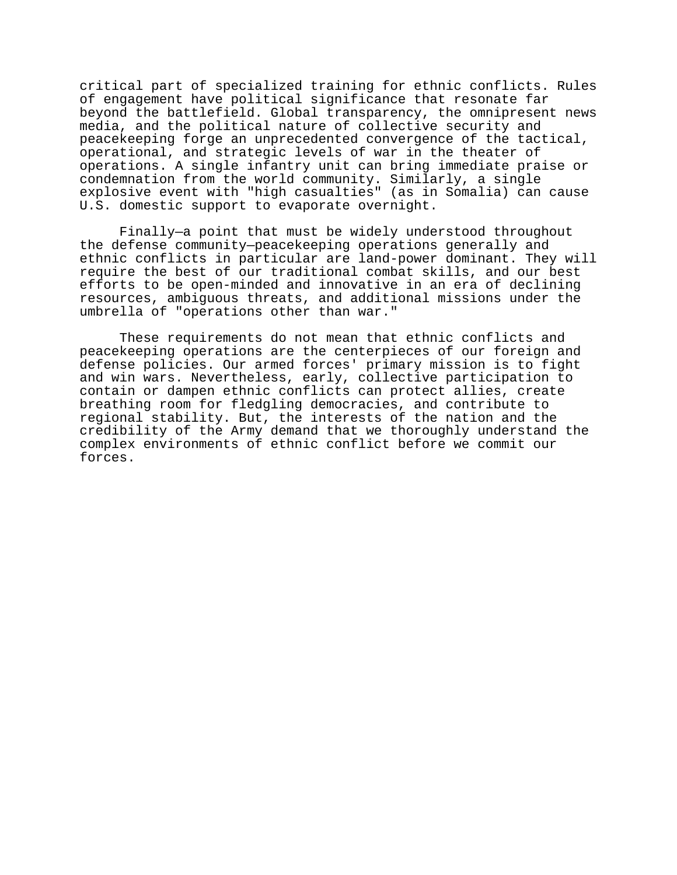critical part of specialized training for ethnic conflicts. Rules of engagement have political significance that resonate far beyond the battlefield. Global transparency, the omnipresent news media, and the political nature of collective security and peacekeeping forge an unprecedented convergence of the tactical, operational, and strategic levels of war in the theater of operations. A single infantry unit can bring immediate praise or condemnation from the world community. Similarly, a single explosive event with "high casualties" (as in Somalia) can cause U.S. domestic support to evaporate overnight.

Finally—a point that must be widely understood throughout the defense community—peacekeeping operations generally and ethnic conflicts in particular are land-power dominant. They will require the best of our traditional combat skills, and our best efforts to be open-minded and innovative in an era of declining resources, ambiguous threats, and additional missions under the umbrella of "operations other than war."

These requirements do not mean that ethnic conflicts and peacekeeping operations are the centerpieces of our foreign and defense policies. Our armed forces' primary mission is to fight and win wars. Nevertheless, early, collective participation to contain or dampen ethnic conflicts can protect allies, create breathing room for fledgling democracies, and contribute to regional stability. But, the interests of the nation and the credibility of the Army demand that we thoroughly understand the complex environments of ethnic conflict before we commit our forces.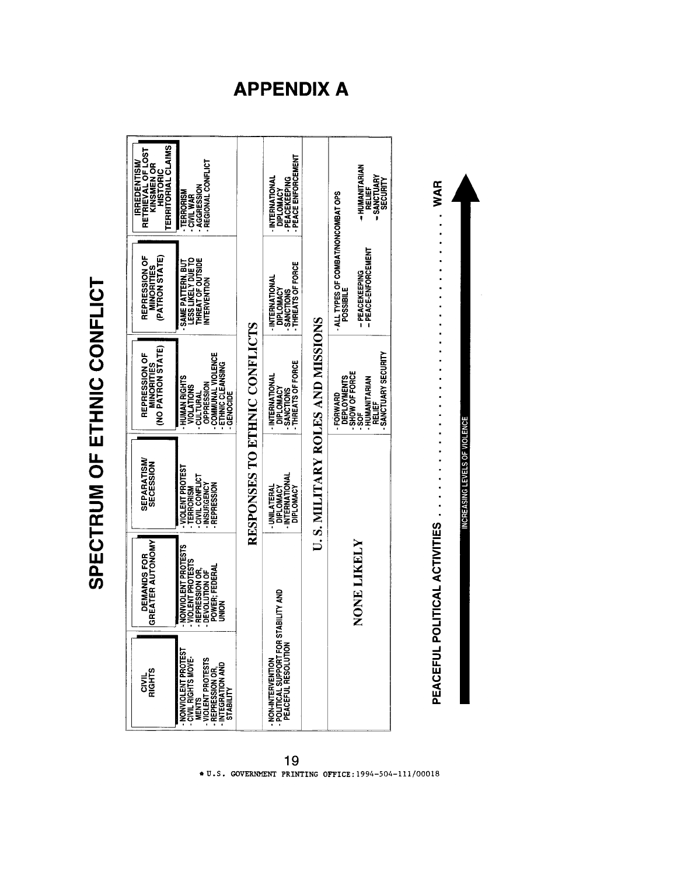

SPECTRUM OF ETHNIC CONFLICT

# **APPENDIX A**

<sup>19</sup> \* U.S. GOVERNMENT PRINTING OFFICE: 1994-504-111/00018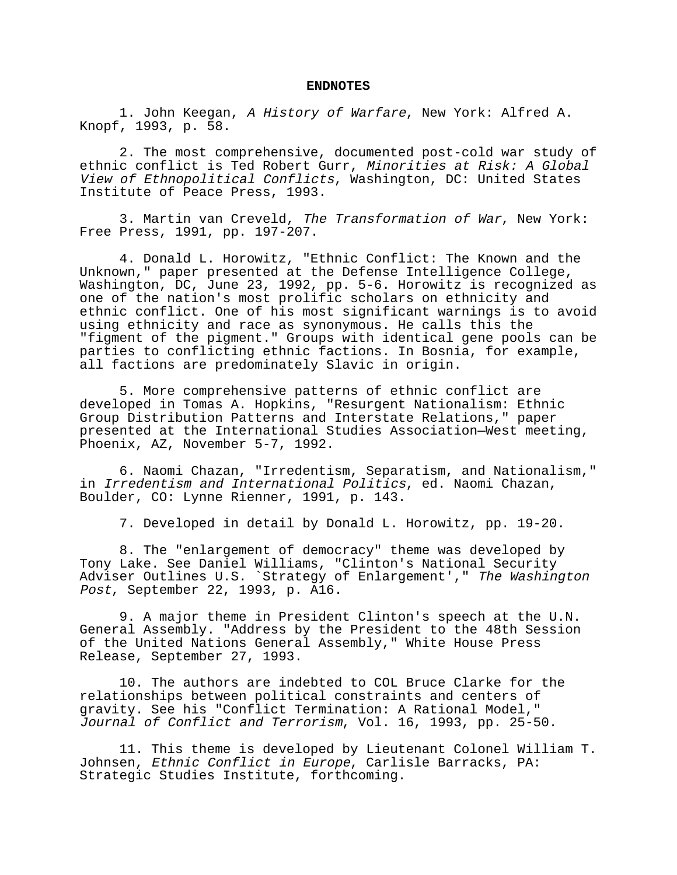#### **ENDNOTES**

1. John Keegan, A History of Warfare, New York: Alfred A. Knopf, 1993, p. 58.

2. The most comprehensive, documented post-cold war study of ethnic conflict is Ted Robert Gurr, Minorities at Risk: A Global View of Ethnopolitical Conflicts, Washington, DC: United States Institute of Peace Press, 1993.

3. Martin van Creveld, The Transformation of War, New York: Free Press, 1991, pp. 197-207.

4. Donald L. Horowitz, "Ethnic Conflict: The Known and the Unknown," paper presented at the Defense Intelligence College, Washington, DC, June 23, 1992, pp. 5-6. Horowitz is recognized as one of the nation's most prolific scholars on ethnicity and ethnic conflict. One of his most significant warnings is to avoid using ethnicity and race as synonymous. He calls this the "figment of the pigment." Groups with identical gene pools can be parties to conflicting ethnic factions. In Bosnia, for example, all factions are predominately Slavic in origin.

5. More comprehensive patterns of ethnic conflict are developed in Tomas A. Hopkins, "Resurgent Nationalism: Ethnic Group Distribution Patterns and Interstate Relations," paper presented at the International Studies Association—West meeting, Phoenix, AZ, November 5-7, 1992.

6. Naomi Chazan, "Irredentism, Separatism, and Nationalism," in Irredentism and International Politics, ed. Naomi Chazan, Boulder, CO: Lynne Rienner, 1991, p. 143.

7. Developed in detail by Donald L. Horowitz, pp. 19-20.

8. The "enlargement of democracy" theme was developed by Tony Lake. See Daniel Williams, "Clinton's National Security Adviser Outlines U.S. `Strategy of Enlargement'," The Washington Post, September 22, 1993, p. A16.

9. A major theme in President Clinton's speech at the U.N. General Assembly. "Address by the President to the 48th Session of the United Nations General Assembly," White House Press Release, September 27, 1993.

10. The authors are indebted to COL Bruce Clarke for the relationships between political constraints and centers of gravity. See his "Conflict Termination: A Rational Model," Journal of Conflict and Terrorism, Vol. 16, 1993, pp. 25-50.

11. This theme is developed by Lieutenant Colonel William T. Johnsen, Ethnic Conflict in Europe, Carlisle Barracks, PA: Strategic Studies Institute, forthcoming.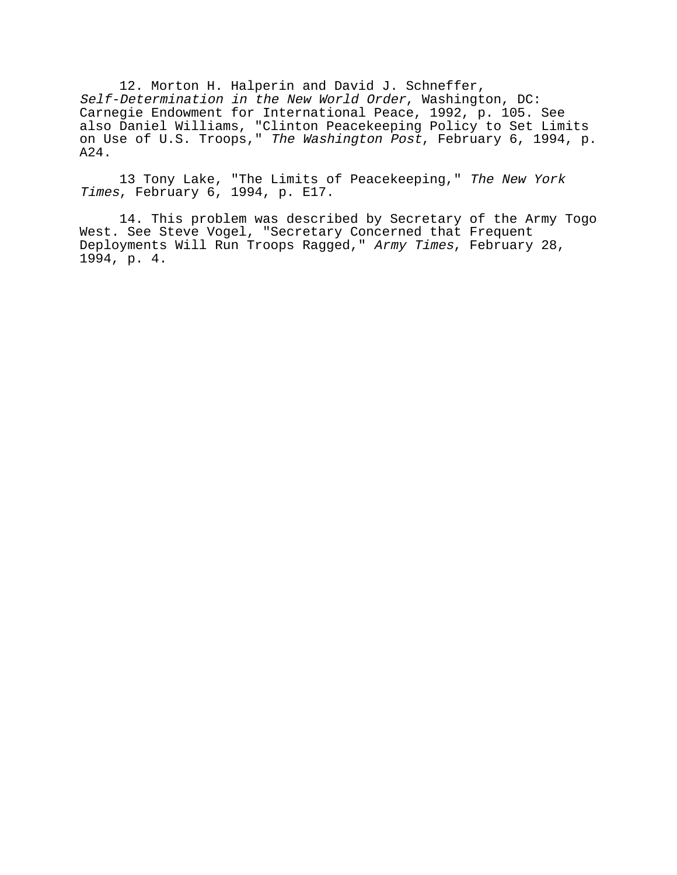12. Morton H. Halperin and David J. Schneffer, Self-Determination in the New World Order, Washington, DC: Carnegie Endowment for International Peace, 1992, p. 105. See also Daniel Williams, "Clinton Peacekeeping Policy to Set Limits on Use of U.S. Troops," The Washington Post, February 6, 1994, p. A24.

13 Tony Lake, "The Limits of Peacekeeping," The New York Times, February 6, 1994, p. E17.

14. This problem was described by Secretary of the Army Togo West. See Steve Vogel, "Secretary Concerned that Frequent Deployments Will Run Troops Ragged," Army Times, February 28, 1994, p. 4.